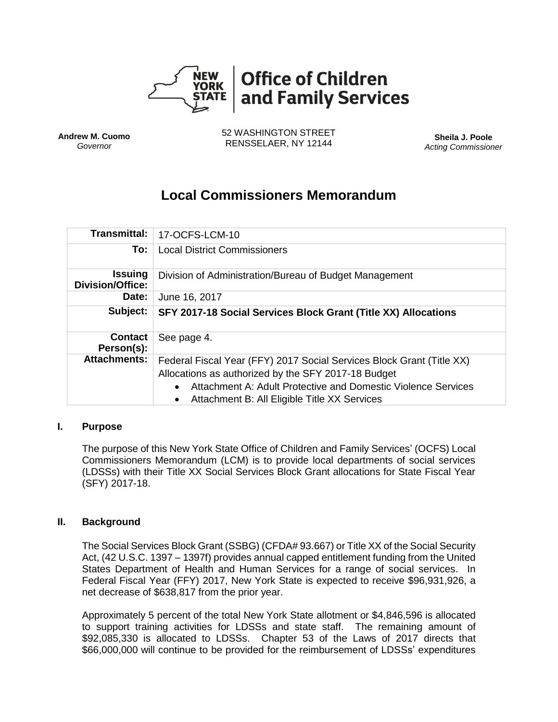

**Andrew M. Cuomo** *Governor*

52 WASHINGTON STREET RENSSELAER, NY 12144 **Sheila J. Poole**

*Acting Commissioner*

# **Local Commissioners Memorandum**

| <b>Transmittal:</b>                       | 17-OCFS-LCM-10                                                                                                                                                                                                                                |  |  |
|-------------------------------------------|-----------------------------------------------------------------------------------------------------------------------------------------------------------------------------------------------------------------------------------------------|--|--|
| To:                                       | <b>Local District Commissioners</b>                                                                                                                                                                                                           |  |  |
| <b>Issuing</b><br><b>Division/Office:</b> | Division of Administration/Bureau of Budget Management                                                                                                                                                                                        |  |  |
| Date:                                     | June 16, 2017                                                                                                                                                                                                                                 |  |  |
| Subject:                                  | SFY 2017-18 Social Services Block Grant (Title XX) Allocations                                                                                                                                                                                |  |  |
| <b>Contact</b><br>Person(s):              | See page 4.                                                                                                                                                                                                                                   |  |  |
| <b>Attachments:</b>                       | Federal Fiscal Year (FFY) 2017 Social Services Block Grant (Title XX)<br>Allocations as authorized by the SFY 2017-18 Budget<br>Attachment A: Adult Protective and Domestic Violence Services<br>Attachment B: All Eligible Title XX Services |  |  |

#### **I. Purpose**

The purpose of this New York State Office of Children and Family Services' (OCFS) Local Commissioners Memorandum (LCM) is to provide local departments of social services (LDSSs) with their Title XX Social Services Block Grant allocations for State Fiscal Year (SFY) 2017-18.

#### **II. Background**

The Social Services Block Grant (SSBG) (CFDA# 93.667) or Title XX of the Social Security Act, (42 U.S.C. 1397 – 1397f) provides annual capped entitlement funding from the United States Department of Health and Human Services for a range of social services. In Federal Fiscal Year (FFY) 2017, New York State is expected to receive \$96,931,926, a net decrease of \$638,817 from the prior year.

Approximately 5 percent of the total New York State allotment or \$4,846,596 is allocated to support training activities for LDSSs and state staff. The remaining amount of \$92,085,330 is allocated to LDSSs. Chapter 53 of the Laws of 2017 directs that \$66,000,000 will continue to be provided for the reimbursement of LDSSs' expenditures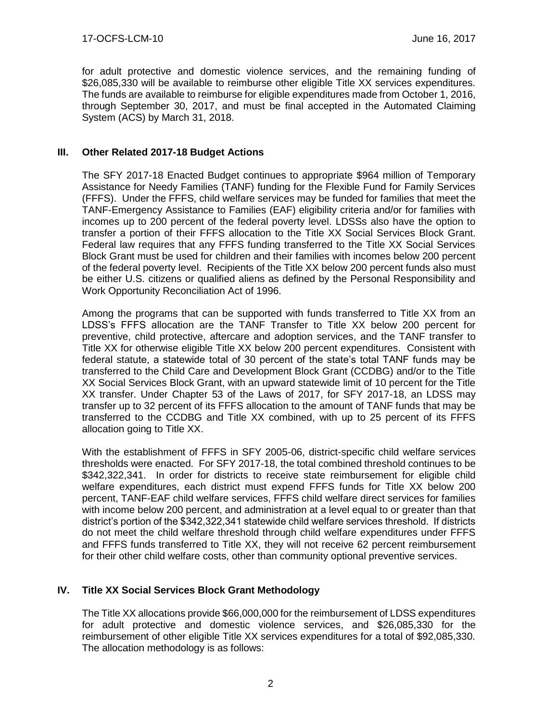for adult protective and domestic violence services, and the remaining funding of \$26,085,330 will be available to reimburse other eligible Title XX services expenditures. The funds are available to reimburse for eligible expenditures made from October 1, 2016, through September 30, 2017, and must be final accepted in the Automated Claiming System (ACS) by March 31, 2018.

## **III. Other Related 2017-18 Budget Actions**

The SFY 2017-18 Enacted Budget continues to appropriate \$964 million of Temporary Assistance for Needy Families (TANF) funding for the Flexible Fund for Family Services (FFFS). Under the FFFS, child welfare services may be funded for families that meet the TANF-Emergency Assistance to Families (EAF) eligibility criteria and/or for families with incomes up to 200 percent of the federal poverty level. LDSSs also have the option to transfer a portion of their FFFS allocation to the Title XX Social Services Block Grant. Federal law requires that any FFFS funding transferred to the Title XX Social Services Block Grant must be used for children and their families with incomes below 200 percent of the federal poverty level. Recipients of the Title XX below 200 percent funds also must be either U.S. citizens or qualified aliens as defined by the Personal Responsibility and Work Opportunity Reconciliation Act of 1996.

Among the programs that can be supported with funds transferred to Title XX from an LDSS's FFFS allocation are the TANF Transfer to Title XX below 200 percent for preventive, child protective, aftercare and adoption services, and the TANF transfer to Title XX for otherwise eligible Title XX below 200 percent expenditures. Consistent with federal statute, a statewide total of 30 percent of the state's total TANF funds may be transferred to the Child Care and Development Block Grant (CCDBG) and/or to the Title XX Social Services Block Grant, with an upward statewide limit of 10 percent for the Title XX transfer. Under Chapter 53 of the Laws of 2017, for SFY 2017-18, an LDSS may transfer up to 32 percent of its FFFS allocation to the amount of TANF funds that may be transferred to the CCDBG and Title XX combined, with up to 25 percent of its FFFS allocation going to Title XX.

With the establishment of FFFS in SFY 2005-06, district-specific child welfare services thresholds were enacted. For SFY 2017-18, the total combined threshold continues to be \$342,322,341. In order for districts to receive state reimbursement for eligible child welfare expenditures, each district must expend FFFS funds for Title XX below 200 percent, TANF-EAF child welfare services, FFFS child welfare direct services for families with income below 200 percent, and administration at a level equal to or greater than that district's portion of the \$342,322,341 statewide child welfare services threshold. If districts do not meet the child welfare threshold through child welfare expenditures under FFFS and FFFS funds transferred to Title XX, they will not receive 62 percent reimbursement for their other child welfare costs, other than community optional preventive services.

## **IV. Title XX Social Services Block Grant Methodology**

The Title XX allocations provide \$66,000,000 for the reimbursement of LDSS expenditures for adult protective and domestic violence services, and \$26,085,330 for the reimbursement of other eligible Title XX services expenditures for a total of \$92,085,330. The allocation methodology is as follows: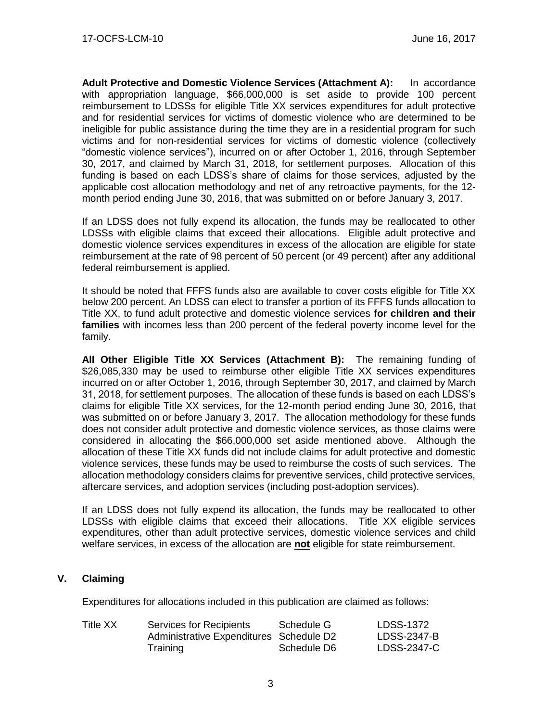**Adult Protective and Domestic Violence Services (Attachment A):** In accordance with appropriation language, \$66,000,000 is set aside to provide 100 percent reimbursement to LDSSs for eligible Title XX services expenditures for adult protective and for residential services for victims of domestic violence who are determined to be ineligible for public assistance during the time they are in a residential program for such victims and for non-residential services for victims of domestic violence (collectively "domestic violence services"), incurred on or after October 1, 2016, through September 30, 2017, and claimed by March 31, 2018, for settlement purposes. Allocation of this funding is based on each LDSS's share of claims for those services, adjusted by the applicable cost allocation methodology and net of any retroactive payments, for the 12 month period ending June 30, 2016, that was submitted on or before January 3, 2017.

If an LDSS does not fully expend its allocation, the funds may be reallocated to other LDSSs with eligible claims that exceed their allocations. Eligible adult protective and domestic violence services expenditures in excess of the allocation are eligible for state reimbursement at the rate of 98 percent of 50 percent (or 49 percent) after any additional federal reimbursement is applied.

It should be noted that FFFS funds also are available to cover costs eligible for Title XX below 200 percent. An LDSS can elect to transfer a portion of its FFFS funds allocation to Title XX, to fund adult protective and domestic violence services **for children and their families** with incomes less than 200 percent of the federal poverty income level for the family.

**All Other Eligible Title XX Services (Attachment B):** The remaining funding of \$26,085,330 may be used to reimburse other eligible Title XX services expenditures incurred on or after October 1, 2016, through September 30, 2017, and claimed by March 31, 2018, for settlement purposes. The allocation of these funds is based on each LDSS's claims for eligible Title XX services, for the 12-month period ending June 30, 2016, that was submitted on or before January 3, 2017. The allocation methodology for these funds does not consider adult protective and domestic violence services, as those claims were considered in allocating the \$66,000,000 set aside mentioned above. Although the allocation of these Title XX funds did not include claims for adult protective and domestic violence services, these funds may be used to reimburse the costs of such services. The allocation methodology considers claims for preventive services, child protective services, aftercare services, and adoption services (including post-adoption services).

If an LDSS does not fully expend its allocation, the funds may be reallocated to other LDSSs with eligible claims that exceed their allocations. Title XX eligible services expenditures, other than adult protective services, domestic violence services and child welfare services, in excess of the allocation are **not** eligible for state reimbursement.

## **V. Claiming**

Expenditures for allocations included in this publication are claimed as follows:

| Title XX | Services for Recipients                 | Schedule G  | LDSS-1372   |
|----------|-----------------------------------------|-------------|-------------|
|          | Administrative Expenditures Schedule D2 |             | LDSS-2347-B |
|          | Training                                | Schedule D6 | LDSS-2347-C |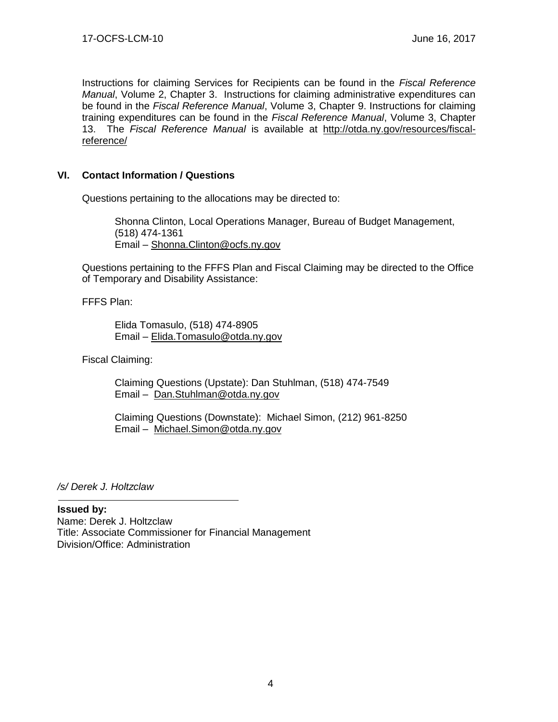Instructions for claiming Services for Recipients can be found in the *Fiscal Reference Manual*, Volume 2, Chapter 3. Instructions for claiming administrative expenditures can be found in the *Fiscal Reference Manual*, Volume 3, Chapter 9. Instructions for claiming training expenditures can be found in the *Fiscal Reference Manual*, Volume 3, Chapter 13. The *Fiscal Reference Manual* is available at [http://otda.ny.gov/resources/fiscal](http://otda.ny.gov/resources/fiscal-reference/)[reference/](http://otda.ny.gov/resources/fiscal-reference/)

## **VI. Contact Information / Questions**

Questions pertaining to the allocations may be directed to:

Shonna Clinton, Local Operations Manager, Bureau of Budget Management, (518) 474-1361 Email – [Shonna.Clinton@ocfs.ny.gov](mailto:Shonna.Clinton@ocfs.ny.gov)

Questions pertaining to the FFFS Plan and Fiscal Claiming may be directed to the Office of Temporary and Disability Assistance:

FFFS Plan:

Elida Tomasulo, (518) 474-8905 Email – [Elida.Tomasulo@otda.ny.gov](mailto:Elida.Tomasulo@otda.ny.gov) 

Fiscal Claiming:

Claiming Questions (Upstate): Dan Stuhlman, (518) 474-7549 Email – [Dan.Stuhlman@otda.ny.gov](mailto:Dan.Stuhlman@otda.ny.gov)

Claiming Questions (Downstate): Michael Simon, (212) 961-8250 Email – [Michael.Simon@otda.ny.gov](mailto:Michael.Simon@otda.ny.gov)

*/s/ Derek J. Holtzclaw*

#### **Issued by:**

Name: Derek J. Holtzclaw Title: Associate Commissioner for Financial Management Division/Office: Administration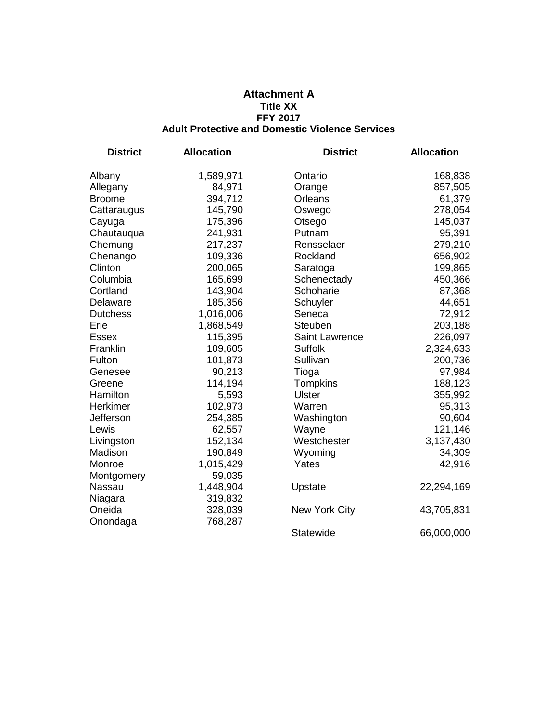#### **Attachment A Title XX FFY 2017 Adult Protective and Domestic Violence Services**

| <b>District</b> | <b>Allocation</b> | <b>District</b>      | <b>Allocation</b> |
|-----------------|-------------------|----------------------|-------------------|
| Albany          | 1,589,971         | Ontario              | 168,838           |
| Allegany        | 84,971            | Orange               | 857,505           |
| <b>Broome</b>   | 394,712           | Orleans              | 61,379            |
| Cattaraugus     | 145,790           | Oswego               | 278,054           |
| Cayuga          | 175,396           | Otsego               | 145,037           |
| Chautauqua      | 241,931           | Putnam               | 95,391            |
| Chemung         | 217,237           | Rensselaer           | 279,210           |
| Chenango        | 109,336           | Rockland             | 656,902           |
| Clinton         | 200,065           | Saratoga             | 199,865           |
| Columbia        | 165,699           | Schenectady          | 450,366           |
| Cortland        | 143,904           | Schoharie            | 87,368            |
| Delaware        | 185,356           | Schuyler             | 44,651            |
| <b>Dutchess</b> | 1,016,006         | Seneca               | 72,912            |
| Erie            | 1,868,549         | <b>Steuben</b>       | 203,188           |
| <b>Essex</b>    | 115,395           | Saint Lawrence       | 226,097           |
| Franklin        | 109,605           | <b>Suffolk</b>       | 2,324,633         |
| Fulton          | 101,873           | Sullivan             | 200,736           |
| Genesee         | 90,213            | Tioga                | 97,984            |
| Greene          | 114,194           | Tompkins             | 188,123           |
| Hamilton        | 5,593             | <b>Ulster</b>        | 355,992           |
| Herkimer        | 102,973           | Warren               | 95,313            |
| Jefferson       | 254,385           | Washington           | 90,604            |
| Lewis           | 62,557            | Wayne                | 121,146           |
| Livingston      | 152,134           | Westchester          | 3,137,430         |
| Madison         | 190,849           | Wyoming              | 34,309            |
| Monroe          | 1,015,429         | Yates                | 42,916            |
| Montgomery      | 59,035            |                      |                   |
| Nassau          | 1,448,904         | Upstate              | 22,294,169        |
| Niagara         | 319,832           |                      |                   |
| Oneida          | 328,039           | <b>New York City</b> | 43,705,831        |
| Onondaga        | 768,287           |                      |                   |
|                 |                   | <b>Statewide</b>     | 66,000,000        |